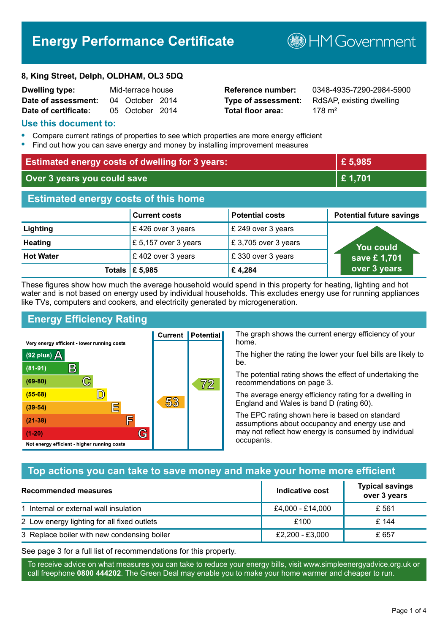# **Energy Performance Certificate**

#### **8, King Street, Delph, OLDHAM, OL3 5DQ**

| Dwelling type:       | Mid-terrace house |                 |  |
|----------------------|-------------------|-----------------|--|
| Date of assessment:  |                   | 04 October 2014 |  |
| Date of certificate: |                   | 05 October 2014 |  |

# **Total floor area:** 178 m<sup>2</sup>

**Reference number:** 0348-4935-7290-2984-5900 **Type of assessment:** RdSAP, existing dwelling

**B**HM Government

#### **Use this document to:**

- **•** Compare current ratings of properties to see which properties are more energy efficient
- **•** Find out how you can save energy and money by installing improvement measures

| <b>Estimated energy costs of dwelling for 3 years:</b> |                           |                        | £ 5,985                         |
|--------------------------------------------------------|---------------------------|------------------------|---------------------------------|
| Over 3 years you could save                            |                           |                        | £ 1,701                         |
| <b>Estimated energy costs of this home</b>             |                           |                        |                                 |
|                                                        | <b>Current costs</b>      | <b>Potential costs</b> | <b>Potential future savings</b> |
| Lighting                                               | £426 over 3 years         | £ 249 over 3 years     |                                 |
| <b>Heating</b>                                         | £ 5,157 over 3 years      | £3,705 over 3 years    | You could                       |
| <b>Hot Water</b>                                       | £402 over 3 years         | £330 over 3 years      | save £1,701                     |
|                                                        | Totals $\mathsf{E}$ 5,985 | £4,284                 | over 3 years                    |

These figures show how much the average household would spend in this property for heating, lighting and hot water and is not based on energy used by individual households. This excludes energy use for running appliances like TVs, computers and cookers, and electricity generated by microgeneration.

**Current | Potential** 

53

# **Energy Efficiency Rating**

C

 $\mathbb{D}$ 

E

庐

G

Very energy efficient - lower running costs

R

Not energy efficient - higher running costs

(92 plus)  $\Delta$ 

 $(81 - 91)$ 

 $(69 - 80)$ 

 $(55-68)$ 

 $(39 - 54)$ 

 $(21-38)$ 

 $(1-20)$ 

The graph shows the current energy efficiency of your home.

The higher the rating the lower your fuel bills are likely to be.

The potential rating shows the effect of undertaking the recommendations on page 3.

The average energy efficiency rating for a dwelling in England and Wales is band D (rating 60).

The EPC rating shown here is based on standard assumptions about occupancy and energy use and may not reflect how energy is consumed by individual occupants.

# **Top actions you can take to save money and make your home more efficient**

 $\overline{72}$ 

| Recommended measures                        | Indicative cost  | <b>Typical savings</b><br>over 3 years |
|---------------------------------------------|------------------|----------------------------------------|
| 1 Internal or external wall insulation      | £4,000 - £14,000 | £ 561                                  |
| 2 Low energy lighting for all fixed outlets | £100             | £ 144                                  |
| 3 Replace boiler with new condensing boiler | £2,200 - £3,000  | £ 657                                  |

See page 3 for a full list of recommendations for this property.

To receive advice on what measures you can take to reduce your energy bills, visit www.simpleenergyadvice.org.uk or call freephone **0800 444202**. The Green Deal may enable you to make your home warmer and cheaper to run.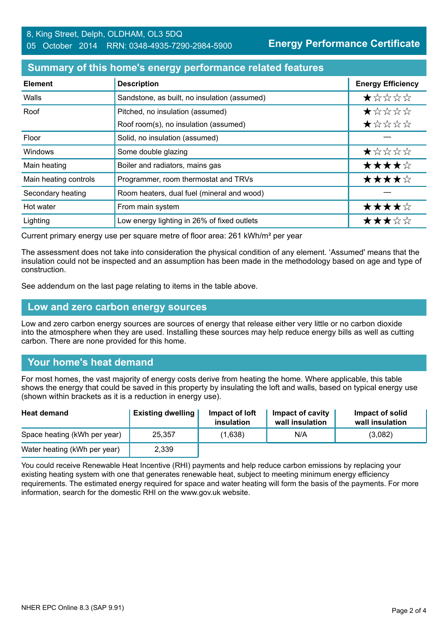# **Summary of this home's energy performance related features**

| <b>Element</b>        | <b>Description</b>                           | <b>Energy Efficiency</b> |
|-----------------------|----------------------------------------------|--------------------------|
| Walls                 | Sandstone, as built, no insulation (assumed) | $\star$ * * * *          |
| Roof                  | Pitched, no insulation (assumed)             | $\star$ * * * *          |
|                       | Roof room(s), no insulation (assumed)        | ★☆☆☆☆                    |
| Floor                 | Solid, no insulation (assumed)               |                          |
| <b>Windows</b>        | Some double glazing                          | ★☆☆☆☆                    |
| Main heating          | Boiler and radiators, mains gas              | ★★★★☆                    |
| Main heating controls | Programmer, room thermostat and TRVs         | ★★★★☆                    |
| Secondary heating     | Room heaters, dual fuel (mineral and wood)   |                          |
| Hot water             | From main system                             | ★★★★☆                    |
| Lighting              | Low energy lighting in 26% of fixed outlets  | ★★★☆☆                    |

Current primary energy use per square metre of floor area: 261 kWh/m² per year

The assessment does not take into consideration the physical condition of any element. 'Assumed' means that the insulation could not be inspected and an assumption has been made in the methodology based on age and type of construction.

See addendum on the last page relating to items in the table above.

#### **Low and zero carbon energy sources**

Low and zero carbon energy sources are sources of energy that release either very little or no carbon dioxide into the atmosphere when they are used. Installing these sources may help reduce energy bills as well as cutting carbon. There are none provided for this home.

# **Your home's heat demand**

For most homes, the vast majority of energy costs derive from heating the home. Where applicable, this table shows the energy that could be saved in this property by insulating the loft and walls, based on typical energy use (shown within brackets as it is a reduction in energy use).

| <b>Heat demand</b>           | <b>Existing dwelling</b> | Impact of loft<br>insulation | Impact of cavity<br>wall insulation | Impact of solid<br>wall insulation |
|------------------------------|--------------------------|------------------------------|-------------------------------------|------------------------------------|
| Space heating (kWh per year) | 25.357                   | (1,638)                      | N/A                                 | (3,082)                            |
| Water heating (kWh per year) | 2,339                    |                              |                                     |                                    |

You could receive Renewable Heat Incentive (RHI) payments and help reduce carbon emissions by replacing your existing heating system with one that generates renewable heat, subject to meeting minimum energy efficiency requirements. The estimated energy required for space and water heating will form the basis of the payments. For more information, search for the domestic RHI on the www.gov.uk website.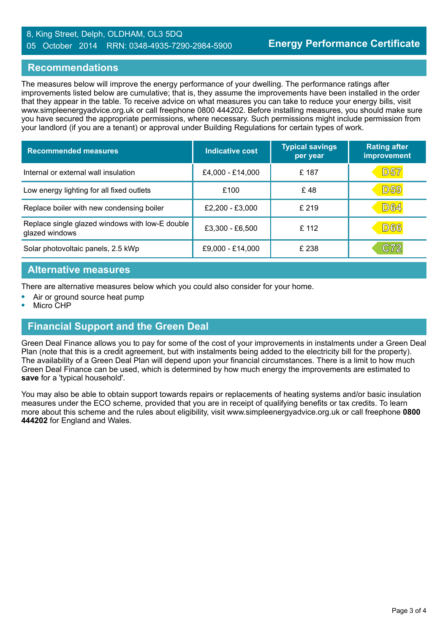#### 8, King Street, Delph, OLDHAM, OL3 5DQ 05 October 2014 RRN: 0348-4935-7290-2984-5900

## **Recommendations**

The measures below will improve the energy performance of your dwelling. The performance ratings after improvements listed below are cumulative; that is, they assume the improvements have been installed in the order that they appear in the table. To receive advice on what measures you can take to reduce your energy bills, visit www.simpleenergyadvice.org.uk or call freephone 0800 444202. Before installing measures, you should make sure you have secured the appropriate permissions, where necessary. Such permissions might include permission from your landlord (if you are a tenant) or approval under Building Regulations for certain types of work.

| <b>Recommended measures</b>                                       | <b>Indicative cost</b> | <b>Typical savings</b><br>per year | <b>Rating after</b><br>improvement |
|-------------------------------------------------------------------|------------------------|------------------------------------|------------------------------------|
| Internal or external wall insulation                              | £4,000 - £14,000       | £ 187                              | <b>D57</b>                         |
| Low energy lighting for all fixed outlets                         | £100                   | £48                                | <b>D59</b>                         |
| Replace boiler with new condensing boiler                         | £2,200 - £3,000        | £219                               | <b>D64</b>                         |
| Replace single glazed windows with low-E double<br>glazed windows | £3,300 - £6,500        | £ 112                              | D66                                |
| Solar photovoltaic panels, 2.5 kWp                                | £9,000 - £14,000       | £ 238                              | C72                                |

## **Alternative measures**

There are alternative measures below which you could also consider for your home.

- **•** Air or ground source heat pump
- **•** Micro CHP

# **Financial Support and the Green Deal**

Green Deal Finance allows you to pay for some of the cost of your improvements in instalments under a Green Deal Plan (note that this is a credit agreement, but with instalments being added to the electricity bill for the property). The availability of a Green Deal Plan will depend upon your financial circumstances. There is a limit to how much Green Deal Finance can be used, which is determined by how much energy the improvements are estimated to **save** for a 'typical household'.

You may also be able to obtain support towards repairs or replacements of heating systems and/or basic insulation measures under the ECO scheme, provided that you are in receipt of qualifying benefits or tax credits. To learn more about this scheme and the rules about eligibility, visit www.simpleenergyadvice.org.uk or call freephone **0800 444202** for England and Wales.